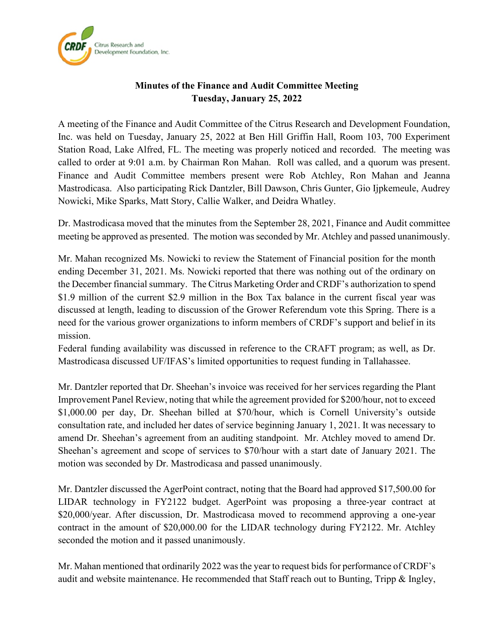

## **Minutes of the Finance and Audit Committee Meeting Tuesday, January 25, 2022**

A meeting of the Finance and Audit Committee of the Citrus Research and Development Foundation, Inc. was held on Tuesday, January 25, 2022 at Ben Hill Griffin Hall, Room 103, 700 Experiment Station Road, Lake Alfred, FL. The meeting was properly noticed and recorded. The meeting was called to order at 9:01 a.m. by Chairman Ron Mahan. Roll was called, and a quorum was present. Finance and Audit Committee members present were Rob Atchley, Ron Mahan and Jeanna Mastrodicasa. Also participating Rick Dantzler, Bill Dawson, Chris Gunter, Gio Ijpkemeule, Audrey Nowicki, Mike Sparks, Matt Story, Callie Walker, and Deidra Whatley.

Dr. Mastrodicasa moved that the minutes from the September 28, 2021, Finance and Audit committee meeting be approved as presented. The motion was seconded by Mr. Atchley and passed unanimously.

Mr. Mahan recognized Ms. Nowicki to review the Statement of Financial position for the month ending December 31, 2021. Ms. Nowicki reported that there was nothing out of the ordinary on the December financial summary. The Citrus Marketing Order and CRDF's authorization to spend \$1.9 million of the current \$2.9 million in the Box Tax balance in the current fiscal year was discussed at length, leading to discussion of the Grower Referendum vote this Spring. There is a need for the various grower organizations to inform members of CRDF's support and belief in its mission.

Federal funding availability was discussed in reference to the CRAFT program; as well, as Dr. Mastrodicasa discussed UF/IFAS's limited opportunities to request funding in Tallahassee.

Mr. Dantzler reported that Dr. Sheehan's invoice was received for her services regarding the Plant Improvement Panel Review, noting that while the agreement provided for \$200/hour, not to exceed \$1,000.00 per day, Dr. Sheehan billed at \$70/hour, which is Cornell University's outside consultation rate, and included her dates of service beginning January 1, 2021. It was necessary to amend Dr. Sheehan's agreement from an auditing standpoint. Mr. Atchley moved to amend Dr. Sheehan's agreement and scope of services to \$70/hour with a start date of January 2021. The motion was seconded by Dr. Mastrodicasa and passed unanimously.

Mr. Dantzler discussed the AgerPoint contract, noting that the Board had approved \$17,500.00 for LIDAR technology in FY2122 budget. AgerPoint was proposing a three-year contract at \$20,000/year. After discussion, Dr. Mastrodicasa moved to recommend approving a one-year contract in the amount of \$20,000.00 for the LIDAR technology during FY2122. Mr. Atchley seconded the motion and it passed unanimously.

Mr. Mahan mentioned that ordinarily 2022 was the year to request bids for performance of CRDF's audit and website maintenance. He recommended that Staff reach out to Bunting, Tripp & Ingley,